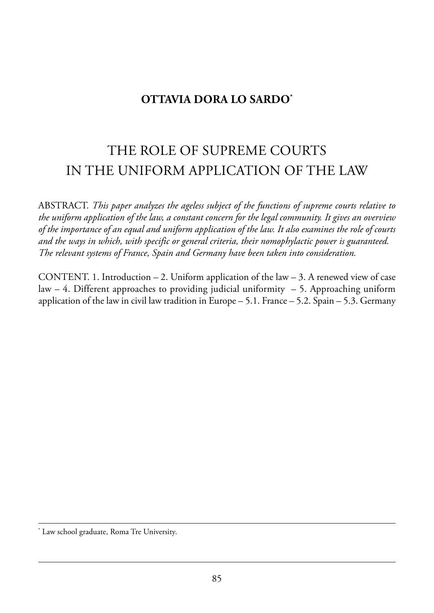## **OTTAVIA DORA LO SARDO\***

# the role of supreme Courts in the uniform appliCation of the law

aBstraCt. *This paper analyzes the ageless subject of the functions of supreme courts relative to the uniform application of the law, a constant concern for the legal community. It gives an overview of the importance of an equal and uniform application of the law. It also examines the role of courts and the ways in which, with specific or general criteria, their nomophylactic power is guaranteed. The relevant systems of France, Spain and Germany have been taken into consideration.*

CONTENT. 1. Introduction  $-2$ . Uniform application of the law  $-3$ . A renewed view of case  $law - 4$ . Different approaches to providing judicial uniformity  $-5$ . Approaching uniform application of the law in civil law tradition in Europe  $-5.1$ . France  $-5.2$ . Spain  $-5.3$ . Germany

\* Law school graduate, Roma Tre University.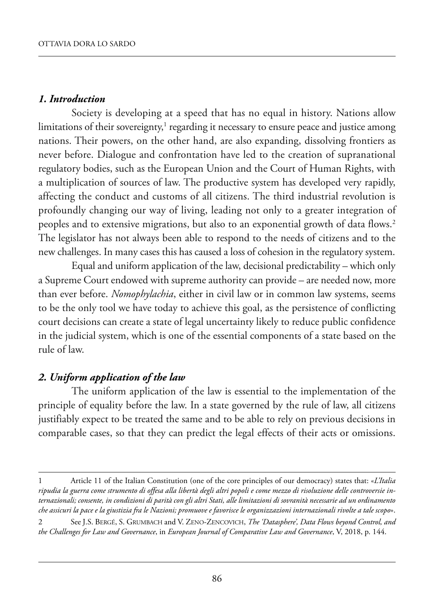#### *1. Introduction*

Society is developing at a speed that has no equal in history. Nations allow limitations of their sovereignty, $1$  regarding it necessary to ensure peace and justice among nations. Their powers, on the other hand, are also expanding, dissolving frontiers as never before. Dialogue and confrontation have led to the creation of supranational regulatory bodies, such as the European Union and the Court of Human Rights, with a multiplication of sources of law. The productive system has developed very rapidly, affecting the conduct and customs of all citizens. The third industrial revolution is profoundly changing our way of living, leading not only to a greater integration of peoples and to extensive migrations, but also to an exponential growth of data flows.2 The legislator has not always been able to respond to the needs of citizens and to the new challenges. in many cases this has caused a loss of cohesion in the regulatory system.

Equal and uniform application of the law, decisional predictability – which only a supreme Court endowed with supreme authority can provide – are needed now, more than ever before. *Nomophylachia*, either in civil law or in common law systems, seems to be the only tool we have today to achieve this goal, as the persistence of conflicting court decisions can create a state of legal uncertainty likely to reduce public confidence in the judicial system, which is one of the essential components of a state based on the rule of law.

## *2. Uniform application of the law*

The uniform application of the law is essential to the implementation of the principle of equality before the law. in a state governed by the rule of law, all citizens justifiably expect to be treated the same and to be able to rely on previous decisions in comparable cases, so that they can predict the legal effects of their acts or omissions.

<sup>1</sup> article 11 of the italian Constitution (one of the core principles of our democracy) states that: «*L'Italia ripudia la guerra come strumento di offesa alla libertà degli altri popoli e come mezzo di risoluzione delle controversie internazionali; consente, in condizioni di parità con gli altri Stati, alle limitazioni di sovranità necessarie ad un ordinamento che assicuri la pace e la giustizia fra le Nazioni; promuove e favorisce le organizzazioni internazionali rivolte a tale scopo*».

<sup>2</sup> see J.s. BerGé, s. GrumBaCh and V. Zeno-ZenCoViCh, *The 'Datasphere', Data Flows beyond Control, and the Challenges for Law and Governance*, in *European Journal of Comparative Law and Governance*, V, 2018, p. 144.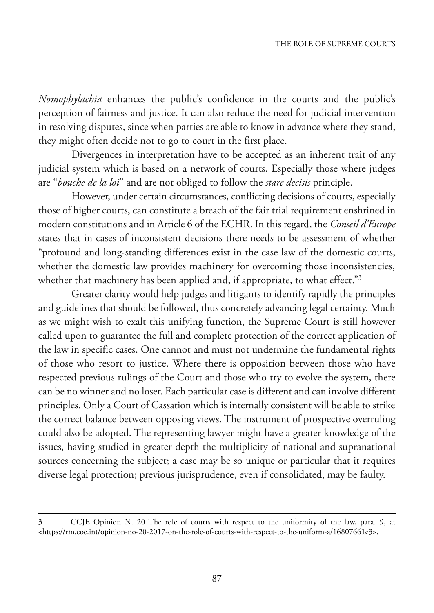*Nomophylachia* enhances the public's confidence in the courts and the public's perception of fairness and justice. it can also reduce the need for judicial intervention in resolving disputes, since when parties are able to know in advance where they stand, they might often decide not to go to court in the first place.

Divergences in interpretation have to be accepted as an inherent trait of any judicial system which is based on a network of courts. Especially those where judges are "*bouche de la loi*" and are not obliged to follow the *stare decisis* principle.

however, under certain circumstances, conflicting decisions of courts, especially those of higher courts, can constitute a breach of the fair trial requirement enshrined in modern constitutions and in Article 6 of the ECHR. In this regard, the *Conseil d'Europe* states that in cases of inconsistent decisions there needs to be assessment of whether "profound and long-standing differences exist in the case law of the domestic courts, whether the domestic law provides machinery for overcoming those inconsistencies, whether that machinery has been applied and, if appropriate, to what effect."<sup>3</sup>

Greater clarity would help judges and litigants to identify rapidly the principles and guidelines that should be followed, thus concretely advancing legal certainty. Much as we might wish to exalt this unifying function, the Supreme Court is still however called upon to guarantee the full and complete protection of the correct application of the law in specific cases. One cannot and must not undermine the fundamental rights of those who resort to justice. where there is opposition between those who have respected previous rulings of the Court and those who try to evolve the system, there can be no winner and no loser. Each particular case is different and can involve different principles. Only a Court of Cassation which is internally consistent will be able to strike the correct balance between opposing views. The instrument of prospective overruling could also be adopted. The representing lawyer might have a greater knowledge of the issues, having studied in greater depth the multiplicity of national and supranational sources concerning the subject; a case may be so unique or particular that it requires diverse legal protection; previous jurisprudence, even if consolidated, may be faulty.

<sup>3</sup> CCJe opinion n. 20 the role of courts with respect to the uniformity of the law, para. 9, at [<https://rm.coe.int/opinion-no-20-2017-on-the-role-of-courts-with-respect-to-the-uniform-a/16807661e3>](https://rm.coe.int/opinion-no-20-2017-on-the-role-of-courts-with-respect-to-the-uniform-a/16807661e3).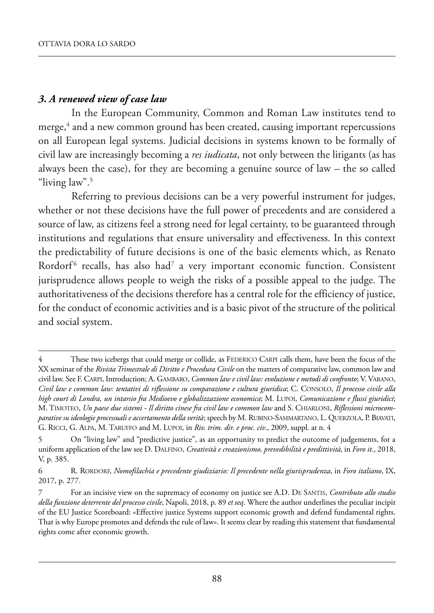## *3. A renewed view of case law*

In the European Community, Common and Roman Law institutes tend to merge,<sup>4</sup> and a new common ground has been created, causing important repercussions on all European legal systems. Judicial decisions in systems known to be formally of civil law are increasingly becoming a *res iudicata*, not only between the litigants (as has always been the case), for they are becoming a genuine source of law – the so called "living law".5

Referring to previous decisions can be a very powerful instrument for judges, whether or not these decisions have the full power of precedents and are considered a source of law, as citizens feel a strong need for legal certainty, to be guaranteed through institutions and regulations that ensure universality and effectiveness. in this context the predictability of future decisions is one of the basic elements which, as Renato Rordorf<sup>6</sup> recalls, has also had<sup>7</sup> a very important economic function. Consistent jurisprudence allows people to weigh the risks of a possible appeal to the judge. The authoritativeness of the decisions therefore has a central role for the efficiency of justice, for the conduct of economic activities and is a basic pivot of the structure of the political and social system.

<sup>4</sup> These two icebergs that could merge or collide, as FEDERICO CARPI calls them, have been the focus of the XX seminar of the *Rivista Trimestrale di Diritto e Procedura Civile* on the matters of comparative law, common law and civil law. see f. Carpi, introduction; a. GamBaro, *Common law e civil law: evoluzione e metodi di confronto*; V. Varano, *Civil law e common law: tentativi di riflessione su comparazione e cultura giuridica*; C. Consolo, *Il processo civile alla high court di Londra, un intarsio fra Medioevo e globalizzazione economica*; m. lupoi, *Comunicazione e flussi giuridici*; m. timoteo, *Un paese due sistemi - Il diritto cinese fra civil law e common law* and s. Chiarloni, *Riflessioni microcom*parative su ideologie processuali e accertamento della verità; speech by M. RUBINO-SAMMARTANO, L. QUERZOLA, P. BIAVATI, G. RICCI, G. ALPA, M. TARUFFO and M. LUPOI, in *Riv. trim. dir. e proc. civ.*, 2009, suppl. at n. 4

<sup>5</sup> On "living law" and "predictive justice", as an opportunity to predict the outcome of judgements, for a uniform application of the law see D. DALFINO, *Creatività e creazionismo, prevedibilità e predittività*, in *Foro it.*, 2018, V, p. 385.

<sup>6</sup> r. rordorf, *Nomofilachia e precedente giudiziario: Il precedente nella giurisprudenza*, in *Foro italiano*, iX, 2017, p. 277.

<sup>7</sup> For an incisive view on the supremacy of economy on justice see A.D. DE SANTIS, *Contributo allo studio della funzione deterrente del processo civile*, napoli, 2018, p. 89 *et seq*. where the author underlines the peculiar incipit of the EU Justice Scoreboard: «Effective justice Systems support economic growth and defend fundamental rights. That is why Europe promotes and defends the rule of law». It seems clear by reading this statement that fundamental rights come after economic growth.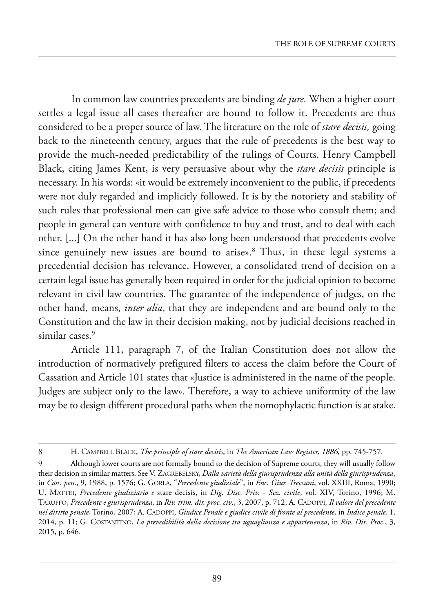in common law countries precedents are binding *de jure.* when a higher court settles a legal issue all cases thereafter are bound to follow it. precedents are thus considered to be a proper source of law. the literature on the role of *stare decisis,* going back to the nineteenth century, argues that the rule of precedents is the best way to provide the much-needed predictability of the rulings of Courts. henry Campbell Black, citing James kent, is very persuasive about why the *stare decisis* principle is necessary. in his words: «it would be extremely inconvenient to the public, if precedents were not duly regarded and implicitly followed. it is by the notoriety and stability of such rules that professional men can give safe advice to those who consult them; and people in general can venture with confidence to buy and trust, and to deal with each other. [...] On the other hand it has also long been understood that precedents evolve since genuinely new issues are bound to arise».<sup>8</sup> Thus, in these legal systems a precedential decision has relevance. however, a consolidated trend of decision on a certain legal issue has generally been required in order for the judicial opinion to become relevant in civil law countries. The guarantee of the independence of judges, on the other hand, means, *inter alia*, that they are independent and are bound only to the Constitution and the law in their decision making, not by judicial decisions reached in similar cases.<sup>9</sup>

Article 111, paragraph 7, of the Italian Constitution does not allow the introduction of normatively prefigured filters to access the claim before the Court of Cassation and Article 101 states that «Justice is administered in the name of the people. Judges are subject only to the law». Therefore, a way to achieve uniformity of the law may be to design different procedural paths when the nomophylactic function is at stake.

<sup>8</sup> h. CampBell BlaCk, *The principle of stare decisis*, in *The American Law Register, 1886,* pp. 745-757.

<sup>9</sup> although lower courts are not formally bound to the decision of supreme courts, they will usually follow their decision in similar matters. see V. ZaGreBelskY, *Dalla varietà della giurisprudenza alla unità della giurisprudenza*, in *Cass. pen*., 9, 1988, p. 1576; G. Gorla, "*Precedente giudiziale*", in *Enc. Giur. Treccani*, vol. XXiii, roma, 1990; u. mattei, *Precedente giudiziario e* stare decisis, in *Dig. Disc. Priv. - Sez. civile*, vol. XiV, torino, 1996; m. taruffo, *Precedente e giurisprudenza*, in *Riv. trim. dir. proc. civ*., 3, 2007, p. 712; a. Cadoppi*, Il valore del precedente nel diritto penale*, torino, 2007; a. Cadoppi, *Giudice Penale e giudice civile di fronte al precedente*, in *Indice penale*, 1, 2014, p. 11; G. Costantino, *La prevedibilità della decisione tra uguaglianza e appartenenza*, in *Riv. Dir. Proc*., 3, 2015, p. 646.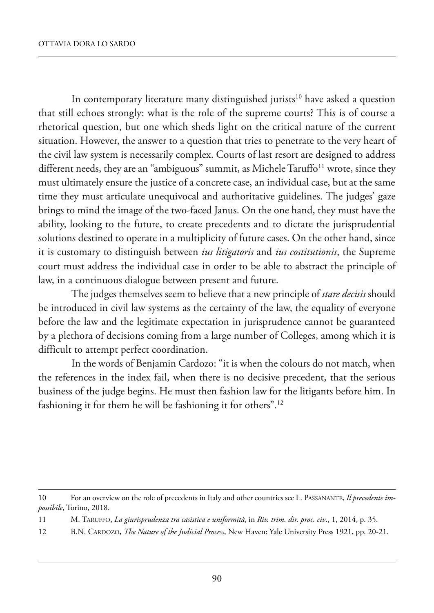In contemporary literature many distinguished jurists<sup>10</sup> have asked a question that still echoes strongly: what is the role of the supreme courts? This is of course a rhetorical question, but one which sheds light on the critical nature of the current situation. however, the answer to a question that tries to penetrate to the very heart of the civil law system is necessarily complex. Courts of last resort are designed to address different needs, they are an "ambiguous" summit, as Michele Taruffo<sup>11</sup> wrote, since they must ultimately ensure the justice of a concrete case, an individual case, but at the same time they must articulate unequivocal and authoritative guidelines. The judges' gaze brings to mind the image of the two-faced Janus. On the one hand, they must have the ability, looking to the future, to create precedents and to dictate the jurisprudential solutions destined to operate in a multiplicity of future cases. On the other hand, since it is customary to distinguish between *ius litigatoris* and *ius costitutionis*, the Supreme court must address the individual case in order to be able to abstract the principle of law, in a continuous dialogue between present and future.

the judges themselves seem to believe that a new principle of *stare decisis* should be introduced in civil law systems as the certainty of the law, the equality of everyone before the law and the legitimate expectation in jurisprudence cannot be guaranteed by a plethora of decisions coming from a large number of Colleges, among which it is difficult to attempt perfect coordination.

In the words of Benjamin Cardozo: "it is when the colours do not match, when the references in the index fail, when there is no decisive precedent, that the serious business of the judge begins. He must then fashion law for the litigants before him. In fashioning it for them he will be fashioning it for others".12

- 11 m. taruffo, *La giurisprudenza tra casistica e uniformità*, in *Riv. trim. dir. proc. civ*., 1, 2014, p. 35.
- 12 B.N. CARDOZO, *The Nature of the Judicial Process*, New Haven: Yale University Press 1921, pp. 20-21.

<sup>10</sup> for an overview on the role of precedents in italy and other countries see l. passanante, *Il precedente im*possibile, Torino, 2018.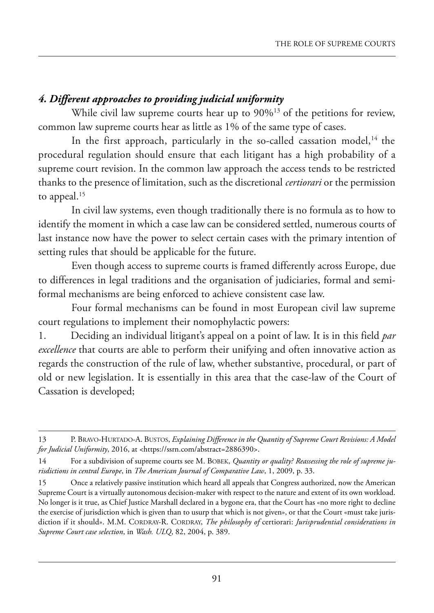## *4. Different approaches to providing judicial uniformity*

While civil law supreme courts hear up to 90%<sup>13</sup> of the petitions for review, common law supreme courts hear as little as 1% of the same type of cases.

In the first approach, particularly in the so-called cassation model, $^{14}$  the procedural regulation should ensure that each litigant has a high probability of a supreme court revision. in the common law approach the access tends to be restricted thanks to the presence of limitation, such as the discretional *certiorari* or the permission to appeal.<sup>15</sup>

In civil law systems, even though traditionally there is no formula as to how to identify the moment in which a case law can be considered settled, numerous courts of last instance now have the power to select certain cases with the primary intention of setting rules that should be applicable for the future.

Even though access to supreme courts is framed differently across Europe, due to differences in legal traditions and the organisation of judiciaries, formal and semiformal mechanisms are being enforced to achieve consistent case law.

Four formal mechanisms can be found in most European civil law supreme court regulations to implement their nomophylactic powers:

1. Deciding an individual litigant's appeal on a point of law. It is in this field *par excellence* that courts are able to perform their unifying and often innovative action as regards the construction of the rule of law, whether substantive, procedural, or part of old or new legislation. it is essentially in this area that the case-law of the Court of Cassation is developed;

<sup>13</sup> P. BRAVO-HURTADO-A. BUSTOS, *Explaining Difference in the Quantity of Supreme Court Revisions: A Model for Judicial Uniformity*, 2016, at [<https://ssrn.com/abstract=2886390>](https://ssrn.com/abstract=2886390).

<sup>14</sup> for a subdivision of supreme courts see m. BoBek, *Quantity or quality? Reassessing the role of supreme jurisdictions in central Europe*, in *The American Journal of Comparative Law*, 1, 2009, p. 33.

<sup>15</sup> Once a relatively passive institution which heard all appeals that Congress authorized, now the American supreme Court is a virtually autonomous decision-maker with respect to the nature and extent of its own workload. No longer is it true, as Chief Justice Marshall declared in a bygone era, that the Court has «no more right to decline the exercise of jurisdiction which is given than to usurp that which is not given», or that the Court «must take jurisdiction if it should». M.M. CORDRAY-R. CORDRAY, *The philosophy of certiorari: Jurisprudential considerations in Supreme Court case selection*, in *Wash. ULQ*, 82, 2004, p. 389.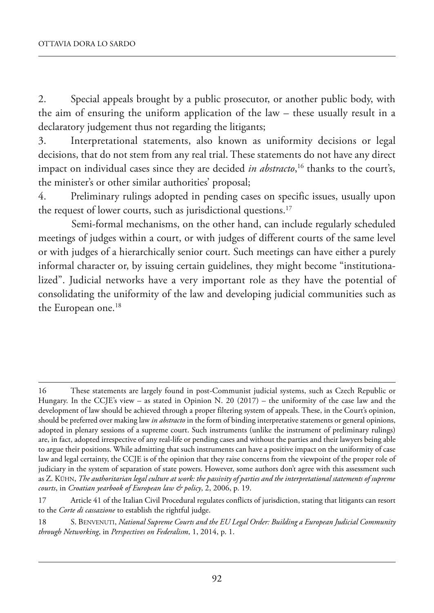2. Special appeals brought by a public prosecutor, or another public body, with the aim of ensuring the uniform application of the law – these usually result in a declaratory judgement thus not regarding the litigants;

3. interpretational statements, also known as uniformity decisions or legal decisions, that do not stem from any real trial. These statements do not have any direct impact on individual cases since they are decided *in abstracto*, <sup>16</sup> thanks to the court's, the minister's or other similar authorities' proposal;

4. preliminary rulings adopted in pending cases on specific issues, usually upon the request of lower courts, such as jurisdictional questions.<sup>17</sup>

semi-formal mechanisms, on the other hand, can include regularly scheduled meetings of judges within a court, or with judges of different courts of the same level or with judges of a hierarchically senior court. Such meetings can have either a purely informal character or, by issuing certain guidelines, they might become "institutionalized". Judicial networks have a very important role as they have the potential of consolidating the uniformity of the law and developing judicial communities such as the European one.<sup>18</sup>

<sup>16</sup> These statements are largely found in post-Communist judicial systems, such as Czech Republic or Hungary. In the CCJE's view – as stated in Opinion N. 20 (2017) – the uniformity of the case law and the development of law should be achieved through a proper filtering system of appeals. These, in the Court's opinion, should be preferred over making law *in abstracto* in the form of binding interpretative statements or general opinions, adopted in plenary sessions of a supreme court. such instruments (unlike the instrument of preliminary rulings) are, in fact, adopted irrespective of any real-life or pending cases and without the parties and their lawyers being able to argue their positions. while admitting that such instruments can have a positive impact on the uniformity of case law and legal certainty, the CCJE is of the opinion that they raise concerns from the viewpoint of the proper role of judiciary in the system of separation of state powers. however, some authors don't agree with this assessment such as Z. kÜhn, *The authoritarian legal culture at work: the passivity of parties and the interpretational statements of supreme courts*, in *Croatian yearbook of European law & policy*, 2, 2006, p. 19.

<sup>17</sup> Article 41 of the Italian Civil Procedural regulates conflicts of jurisdiction, stating that litigants can resort to the *Corte di cassazione* to establish the rightful judge.

<sup>18</sup> s. BenVenuti, *National Supreme Courts and the EU Legal Order: Building a European Judicial Community through Networking*, in *Perspectives on Federalism*, 1, 2014, p. 1.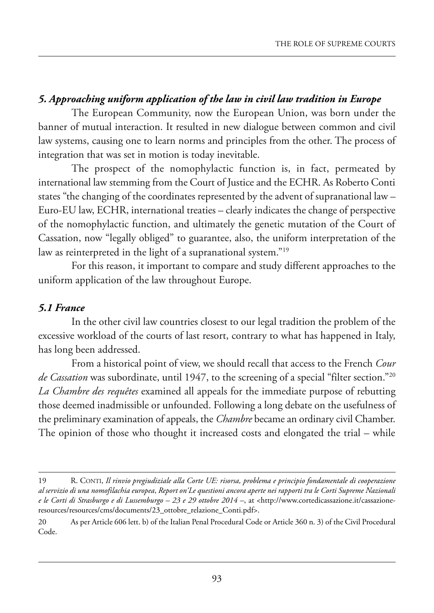## *5. Approaching uniform application of the law in civil law tradition in Europe*

The European Community, now the European Union, was born under the banner of mutual interaction. it resulted in new dialogue between common and civil law systems, causing one to learn norms and principles from the other. The process of integration that was set in motion is today inevitable.

The prospect of the nomophylactic function is, in fact, permeated by international law stemming from the Court of Justice and the ECHR. As Roberto Conti states "the changing of the coordinates represented by the advent of supranational law – Euro-EU law, ECHR, international treaties – clearly indicates the change of perspective of the nomophylactic function, and ultimately the genetic mutation of the Court of Cassation, now "legally obliged" to guarantee, also, the uniform interpretation of the law as reinterpreted in the light of a supranational system."<sup>19</sup>

for this reason, it important to compare and study different approaches to the uniform application of the law throughout Europe.

#### *5.1 France*

In the other civil law countries closest to our legal tradition the problem of the excessive workload of the courts of last resort, contrary to what has happened in Italy, has long been addressed.

from a historical point of view, we should recall that access to the french *Cour de Cassation* was subordinate, until 1947, to the screening of a special "filter section."20 *La Chambre des requêtes* examined all appeals for the immediate purpose of rebutting those deemed inadmissible or unfounded. following a long debate on the usefulness of the preliminary examination of appeals, the *Chambre* became an ordinary civil Chamber. The opinion of those who thought it increased costs and elongated the trial  $-$  while

<sup>19</sup> r. Conti, *Il rinvio pregiudiziale alla Corte UE: risorsa, problema e principio fondamentale di cooperazione al servizio di una nomofilachia europea*, *Report on'Le questioni ancora aperte nei rapporti tra le Corti Supreme Nazionali e le Corti di Strasburgo e di Lussemburgo – 23 e 29 ottobre 2014 –*, at [<http://www.cortedicassazione.it/cassazione](http://www.cortedicassazione.it/cassazione-resources/resources/cms/documents/23_ottobre_relazione_Conti.pdf)[resources/resources/cms/documents/23\\_ottobre\\_relazione\\_Conti.pdf>](http://www.cortedicassazione.it/cassazione-resources/resources/cms/documents/23_ottobre_relazione_Conti.pdf).

<sup>20</sup> As per Article 606 lett. b) of the Italian Penal Procedural Code or Article 360 n. 3) of the Civil Procedural Code.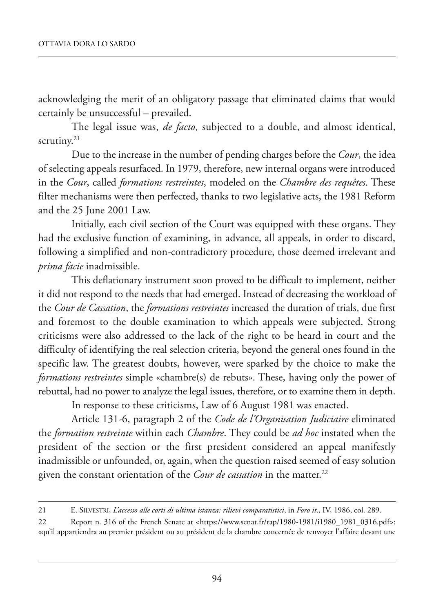acknowledging the merit of an obligatory passage that eliminated claims that would certainly be unsuccessful – prevailed.

the legal issue was, *de facto*, subjected to a double, and almost identical, scrutiny. $21$ 

Due to the increase in the number of pending charges before the *Cour*, the idea of selecting appeals resurfaced. in 1979, therefore, new internal organs were introduced in the *Cour*, called *formations restreintes*, modeled on the *Chambre des requêtes*. These filter mechanisms were then perfected, thanks to two legislative acts, the 1981 Reform and the 25 June 2001 law.

Initially, each civil section of the Court was equipped with these organs. They had the exclusive function of examining, in advance, all appeals, in order to discard, following a simplified and non-contradictory procedure, those deemed irrelevant and *prima facie* inadmissible.

This deflationary instrument soon proved to be difficult to implement, neither it did not respond to the needs that had emerged. Instead of decreasing the workload of the *Cour de Cassation*, the *formations restreintes* increased the duration of trials, due first and foremost to the double examination to which appeals were subjected. Strong criticisms were also addressed to the lack of the right to be heard in court and the difficulty of identifying the real selection criteria, beyond the general ones found in the specific law. The greatest doubts, however, were sparked by the choice to make the *formations restreintes* simple «chambre(s) de rebuts». These, having only the power of rebuttal, had no power to analyze the legal issues, therefore, or to examine them in depth.

In response to these criticisms, Law of 6 August 1981 was enacted.

article 131-6, paragraph 2 of the *Code de l'Organisation Judiciaire* eliminated the *formation restreinte* within each *Chambre*. they could be *ad hoc* instated when the president of the section or the first president considered an appeal manifestly inadmissible or unfounded, or, again, when the question raised seemed of easy solution given the constant orientation of the *Cour de cassation* in the matter.<sup>22</sup>

<sup>21</sup> e. silVestri, *L'accesso alle corti di ultima istanza: rilievi comparatistici*, in *Foro it*., iV, 1986, col. 289.

<sup>22</sup> Report n. 316 of the French Senate at [<https://www.senat.fr/rap/1980-1981/i1980\\_1981\\_0316.pdf>](https://www.senat.fr/rap/1980-1981/i1980_1981_0316.pdf): «qu'il appartiendra au premier président ou au président de la chambre concernée de renvoyer l'affaire devant une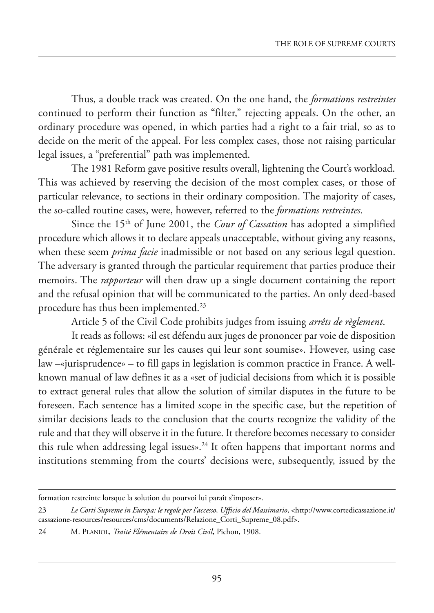thus, a double track was created. on the one hand, the *formation*s *restreintes* continued to perform their function as "filter," rejecting appeals. On the other, an ordinary procedure was opened, in which parties had a right to a fair trial, so as to decide on the merit of the appeal. for less complex cases, those not raising particular legal issues, a "preferential" path was implemented.

The 1981 Reform gave positive results overall, lightening the Court's workload. This was achieved by reserving the decision of the most complex cases, or those of particular relevance, to sections in their ordinary composition. The majority of cases, the so-called routine cases, were, however, referred to the *formations restreintes*.

Since the 15<sup>th</sup> of June 2001, the *Cour of Cassation* has adopted a simplified procedure which allows it to declare appeals unacceptable, without giving any reasons, when these seem *prima facie* inadmissible or not based on any serious legal question. The adversary is granted through the particular requirement that parties produce their memoirs. The *rapporteur* will then draw up a single document containing the report and the refusal opinion that will be communicated to the parties. An only deed-based procedure has thus been implemented.23

article 5 of the Civil Code prohibits judges from issuing *arrêts de règlement*.

It reads as follows: «il est défendu aux juges de prononcer par voie de disposition générale et réglementaire sur les causes qui leur sont soumise». however, using case law  $-\text{e}$ jurisprudence» – to fill gaps in legislation is common practice in France. A wellknown manual of law defines it as a «set of judicial decisions from which it is possible to extract general rules that allow the solution of similar disputes in the future to be foreseen. Each sentence has a limited scope in the specific case, but the repetition of similar decisions leads to the conclusion that the courts recognize the validity of the rule and that they will observe it in the future. it therefore becomes necessary to consider this rule when addressing legal issues».<sup>24</sup> It often happens that important norms and institutions stemming from the courts' decisions were, subsequently, issued by the

formation restreinte lorsque la solution du pourvoi lui paraît s'imposer».

<sup>23</sup> *Le Corti Supreme in Europa: le regole per l'accesso, Ufficio del Massimario*, [<http://www.cortedicassazione.it/](http://www.cortedicassazione.it/cassazione-resources/resources/cms/documents/relazione_Corti_supreme_08.pdf) cassazione-resources/resources/cms/documents/Relazione\_Corti\_Supreme\_08.pdf>.

<sup>24</sup> m. planiol, *Traité Elémentaire de Droit Civil*, pichon, 1908.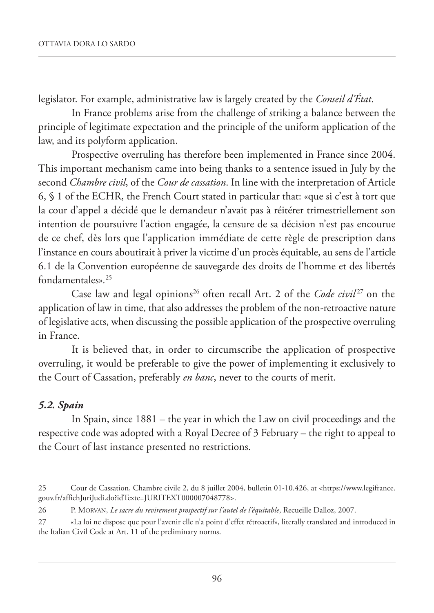legislator. For example, administrative law is largely created by the *Conseil d'État*.

In France problems arise from the challenge of striking a balance between the principle of legitimate expectation and the principle of the uniform application of the law, and its polyform application.

Prospective overruling has therefore been implemented in France since 2004. This important mechanism came into being thanks to a sentence issued in July by the second *Chambre civil*, of the *Cour de cassation*. In line with the interpretation of Article 6, § 1 of the ECHR, the French Court stated in particular that: «que si c'est à tort que la cour d'appel a décidé que le demandeur n'avait pas à réitérer trimestriellement son intention de poursuivre l'action engagée, la censure de sa décision n'est pas encourue de ce chef, dès lors que l'application immédiate de cette règle de prescription dans l'instance en cours aboutirait à priver la victime d'un procès équitable, au sens de l'article 6.1 de la Convention européenne de sauvegarde des droits de l'homme et des libertés fondamentales»*.* 25

Case law and legal opinions<sup>26</sup> often recall Art. 2 of the *Code civil*<sup>27</sup> on the application of law in time, that also addresses the problem of the non-retroactive nature of legislative acts, when discussing the possible application of the prospective overruling in France.

It is believed that, in order to circumscribe the application of prospective overruling, it would be preferable to give the power of implementing it exclusively to the Court of Cassation, preferably *en banc*, never to the courts of merit.

### *5.2. Spain*

In Spain, since 1881 – the year in which the Law on civil proceedings and the respective code was adopted with a Royal Decree of 3 February – the right to appeal to the Court of last instance presented no restrictions.

<sup>25</sup> Cour de Cassation, Chambre civile 2, du 8 juillet 2004, bulletin 01-10.426, at [<https://www.legifrance.](https://www.legifrance.gouv.fr/affichJuriJudi.do?idtexte=JuriteXt000007048778) [gouv.fr/affichJuriJudi.do?idTexte=JURITEXT000007048778>](https://www.legifrance.gouv.fr/affichJuriJudi.do?idtexte=JuriteXt000007048778).

<sup>26</sup> P. MORVAN, *Le sacre du revirement prospectif sur l'autel de l'équitable*, Recueille Dalloz, 2007.

<sup>27 «</sup>La loi ne dispose que pour l'avenir elle n'a point d'effet rétroactif», literally translated and introduced in the Italian Civil Code at Art. 11 of the preliminary norms.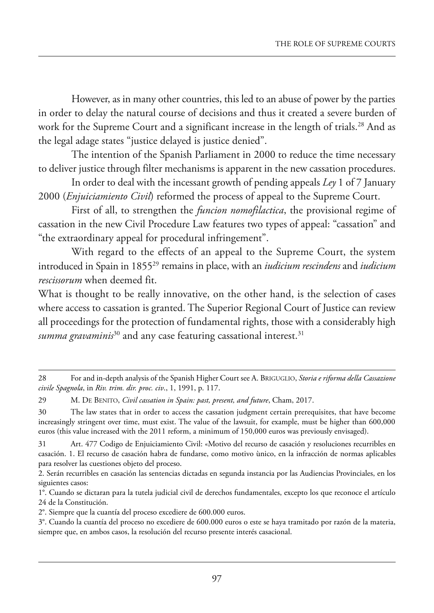however, as in many other countries, this led to an abuse of power by the parties in order to delay the natural course of decisions and thus it created a severe burden of work for the Supreme Court and a significant increase in the length of trials.<sup>28</sup> And as the legal adage states "justice delayed is justice denied".

The intention of the Spanish Parliament in 2000 to reduce the time necessary to deliver justice through filter mechanisms is apparent in the new cassation procedures.

in order to deal with the incessant growth of pending appeals *Ley* 1 of 7 January 2000 (*Enjuiciamiento Civil*) reformed the process of appeal to the Supreme Court.

first of all, to strengthen the *funcion nomofilactica*, the provisional regime of cassation in the new Civil Procedure Law features two types of appeal: "cassation" and "the extraordinary appeal for procedural infringement".

With regard to the effects of an appeal to the Supreme Court, the system introduced in spain in 185529 remains in place, with an *iudicium rescindens* and *iudicium rescissorum* when deemed fit.

what is thought to be really innovative, on the other hand, is the selection of cases where access to cassation is granted. The Superior Regional Court of Justice can review all proceedings for the protection of fundamental rights, those with a considerably high *summa gravaminis*<sup>30</sup> and any case featuring cassational interest.<sup>31</sup>

<sup>28</sup> for and in-depth analysis of the spanish higher Court see a. BriGuGlio, *Storia e riforma della Cassazione civile Spagnola*, in *Riv. trim. dir. proc. civ*., 1, 1991, p. 117.

<sup>29</sup> m. de Benito, *Civil cassation in Spain: past, present, and future*, Cham, 2017.

<sup>30</sup> the law states that in order to access the cassation judgment certain prerequisites, that have become increasingly stringent over time, must exist. The value of the lawsuit, for example, must be higher than 600,000 euros (this value increased with the 2011 reform, a minimum of 150,000 euros was previously envisaged).

<sup>31</sup> Art. 477 Codigo de Enjuiciamiento Civil: «Motivo del recurso de casación y resoluciones recurribles en casación. 1. el recurso de casación habra de fundarse, como motivo ùnico, en la infracción de normas aplicables para resolver las cuestiones objeto del proceso.

<sup>2.</sup> serán recurribles en casación las sentencias dictadas en segunda instancia por las audiencias provinciales, en los siguientes casos:

<sup>1°.</sup> Cuando se dictaran para la tutela judicial civil de derechos fundamentales, excepto los que reconoce el artículo 24 de la Constitución.

<sup>2°.</sup> siempre que la cuantía del proceso excediere de 600.000 euros.

<sup>3°.</sup> Cuando la cuantía del proceso no excediere de 600.000 euros o este se haya tramitado por razón de la materia, siempre que, en ambos casos, la resolución del recurso presente interés casacional.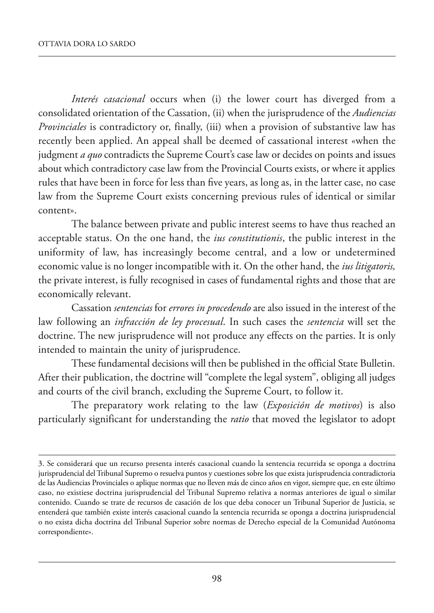*Interés casacional* occurs when (i) the lower court has diverged from a consolidated orientation of the Cassation, (ii) when the jurisprudence of the *Audiencias Provinciales* is contradictory or, finally, (iii) when a provision of substantive law has recently been applied. An appeal shall be deemed of cassational interest «when the judgment *a quo* contradicts the Supreme Court's case law or decides on points and issues about which contradictory case law from the Provincial Courts exists, or where it applies rules that have been in force for less than five years, as long as, in the latter case, no case law from the Supreme Court exists concerning previous rules of identical or similar content».

The balance between private and public interest seems to have thus reached an acceptable status. On the one hand, the *ius constitutionis*, the public interest in the uniformity of law, has increasingly become central, and a low or undetermined economic value is no longer incompatible with it. On the other hand, the *ius litigatoris*, the private interest, is fully recognised in cases of fundamental rights and those that are economically relevant.

Cassation *sentencias* for *errores in procedendo* are also issued in the interest of the law following an *infracción de ley procesual*. In such cases the *sentencia* will set the doctrine. The new jurisprudence will not produce any effects on the parties. It is only intended to maintain the unity of jurisprudence.

These fundamental decisions will then be published in the official State Bulletin. after their publication, the doctrine will "complete the legal system", obliging all judges and courts of the civil branch, excluding the Supreme Court, to follow it.

the preparatory work relating to the law (*Exposición de motivos*) is also particularly significant for understanding the *ratio* that moved the legislator to adopt

<sup>3.</sup> se considerará que un recurso presenta interés casacional cuando la sentencia recurrida se oponga a doctrina jurisprudencial del tribunal supremo o resuelva puntos y cuestiones sobre los que exista jurisprudencia contradictoria de las Audiencias Provinciales o aplique normas que no lleven más de cinco años en vigor, siempre que, en este último caso, no existiese doctrina jurisprudencial del tribunal supremo relativa a normas anteriores de igual o similar contenido. Cuando se trate de recursos de casación de los que deba conocer un tribunal superior de Justicia, se entenderá que también existe interés casacional cuando la sentencia recurrida se oponga a doctrina jurisprudencial o no exista dicha doctrina del Tribunal Superior sobre normas de Derecho especial de la Comunidad Autónoma correspondiente».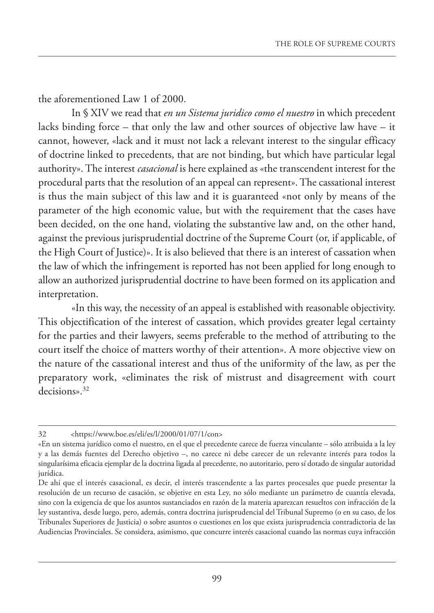the aforementioned Law 1 of 2000.

In § XIV we read that *en un Sistema juridico como el nuestro* in which precedent lacks binding force – that only the law and other sources of objective law have – it cannot, however, «lack and it must not lack a relevant interest to the singular efficacy of doctrine linked to precedents, that are not binding, but which have particular legal authority». The interest *casacional* is here explained as «the transcendent interest for the procedural parts that the resolution of an appeal can represent». The cassational interest is thus the main subject of this law and it is guaranteed «not only by means of the parameter of the high economic value, but with the requirement that the cases have been decided, on the one hand, violating the substantive law and, on the other hand, against the previous jurisprudential doctrine of the Supreme Court (or, if applicable, of the High Court of Justice)». It is also believed that there is an interest of cassation when the law of which the infringement is reported has not been applied for long enough to allow an authorized jurisprudential doctrine to have been formed on its application and interpretation.

«In this way, the necessity of an appeal is established with reasonable objectivity. This objectification of the interest of cassation, which provides greater legal certainty for the parties and their lawyers, seems preferable to the method of attributing to the court itself the choice of matters worthy of their attention». A more objective view on the nature of the cassational interest and thus of the uniformity of the law, as per the preparatory work, «eliminates the risk of mistrust and disagreement with court decisions».32

<sup>32</sup> [<https://www.boe.es/eli/es/l/2000/01/07/1/con>](https://www.boe.es/buscar/act.php?id=Boe-a-2000-323)

<sup>«</sup>En un sistema jurídico como el nuestro, en el que el precedente carece de fuerza vinculante – sólo atribuida a la ley y a las demás fuentes del Derecho objetivo –, no carece ni debe carecer de un relevante interés para todos la singularísima eficacia ejemplar de la doctrina ligada al precedente, no autoritario, pero sí dotado de singular autoridad iurídica.

De ahí que el interés casacional, es decir, el interés trascendente a las partes procesales que puede presentar la resolución de un recurso de casación, se objetive en esta Ley, no sólo mediante un parámetro de cuantía elevada, sino con la exigencia de que los asuntos sustanciados en razón de la materia aparezcan resueltos con infracción de la ley sustantiva, desde luego, pero, además, contra doctrina jurisprudencial del Tribunal Supremo (o en su caso, de los Tribunales Superiores de Justicia) o sobre asuntos o cuestiones en los que exista jurisprudencia contradictoria de las Audiencias Provinciales. Se considera, asimismo, que concurre interés casacional cuando las normas cuya infracción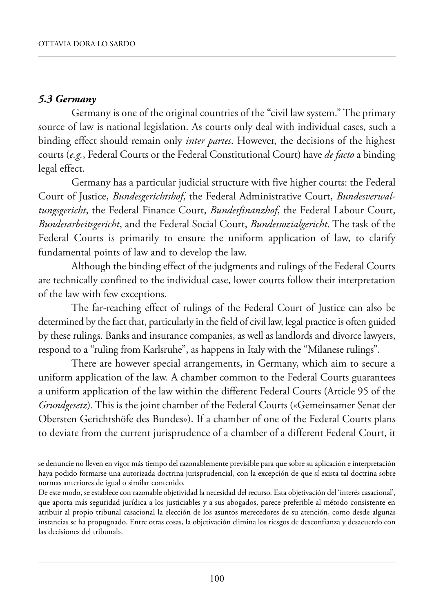#### *5.3 Germany*

Germany is one of the original countries of the "civil law system." The primary source of law is national legislation. As courts only deal with individual cases, such a binding effect should remain only *inter partes*. However, the decisions of the highest courts (*e.g.*, federal Courts or the federal Constitutional Court) have *de facto* a binding legal effect.

Germany has a particular judicial structure with five higher courts: the federal Court of Justice, *Bundesgerichtshof*, the federal administrative Court, *Bundesverwaltungsgericht*, the federal finance Court, *Bundesfinanzhof*, the federal labour Court, *Bundesarbeitsgericht*, and the Federal Social Court, *Bundessozialgericht*. The task of the federal Courts is primarily to ensure the uniform application of law, to clarify fundamental points of law and to develop the law.

although the binding effect of the judgments and rulings of the federal Courts are technically confined to the individual case, lower courts follow their interpretation of the law with few exceptions.

The far-reaching effect of rulings of the Federal Court of Justice can also be determined by the fact that, particularly in the field of civil law, legal practice is often guided by these rulings. Banks and insurance companies, as well as landlords and divorce lawyers, respond to a "ruling from Karlsruhe", as happens in Italy with the "Milanese rulings".

There are however special arrangements, in Germany, which aim to secure a uniform application of the law. A chamber common to the Federal Courts guarantees a uniform application of the law within the different Federal Courts (Article 95 of the *Grundgesetz*). This is the joint chamber of the Federal Courts («Gemeinsamer Senat der obersten Gerichtshöfe des Bundes»). if a chamber of one of the federal Courts plans to deviate from the current jurisprudence of a chamber of a different federal Court, it

se denuncie no lleven en vigor más tiempo del razonablemente previsible para que sobre su aplicación e interpretación haya podido formarse una autorizada doctrina jurisprudencial, con la excepción de que sí exista tal doctrina sobre normas anteriores de igual o similar contenido.

De este modo, se establece con razonable objetividad la necesidad del recurso. Esta objetivación del 'interés casacional', que aporta más seguridad jurídica a los justiciables y a sus abogados, parece preferible al método consistente en atribuir al propio tribunal casacional la elección de los asuntos merecedores de su atención, como desde algunas instancias se ha propugnado. entre otras cosas, la objetivación elimina los riesgos de desconfianza y desacuerdo con las decisiones del tribunal».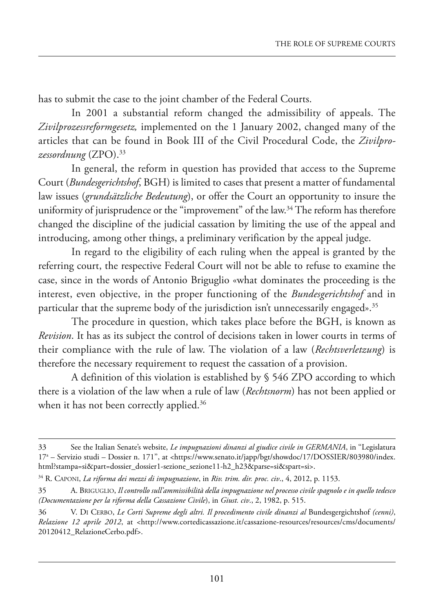has to submit the case to the joint chamber of the federal Courts.

In 2001 a substantial reform changed the admissibility of appeals. The *Zivilprozessreformgesetz,* implemented on the 1 January 2002, changed many of the articles that can be found in Book III of the Civil Procedural Code, the Zivilpro*zessordnung* (Zpo).33

In general, the reform in question has provided that access to the Supreme Court (*Bundesgerichtshof*, BGh) is limited to cases that present a matter of fundamental law issues (*grundsätzliche Bedeutung*), or offer the Court an opportunity to insure the uniformity of jurisprudence or the "improvement" of the law.<sup>34</sup> The reform has therefore changed the discipline of the judicial cassation by limiting the use of the appeal and introducing, among other things, a preliminary verification by the appeal judge.

In regard to the eligibility of each ruling when the appeal is granted by the referring court, the respective federal Court will not be able to refuse to examine the case, since in the words of Antonio Briguglio «what dominates the proceeding is the interest, even objective, in the proper functioning of the *Bundesgerichtshof* and in particular that the supreme body of the jurisdiction isn't unnecessarily engaged».<sup>35</sup>

The procedure in question, which takes place before the BGH, is known as *Revision*. it has as its subject the control of decisions taken in lower courts in terms of their compliance with the rule of law. the violation of a law (*Rechtsverletzung*) is therefore the necessary requirement to request the cassation of a provision.

A definition of this violation is established by § 546 ZPO according to which there is a violation of the law when a rule of law (*Rechtsnorm*) has not been applied or when it has not been correctly applied.<sup>36</sup>

<sup>33</sup> see the italian senate's website, *Le impugnazioni dinanzi al giudice civile in GERMANIA*, in ''legislatura 17<sup>a</sup> – Servizio studi – Dossier n. 171", at <https://www.senato.it/japp/bgt/showdoc/17/DOSSIER/803980/index. [html?stampa=si&part=dossier\\_dossier1-sezione\\_sezione11-h2\\_h23&parse=si&spart=si>](www.senato.it/japp/bgt/showdoc/17/dossier/803980/index.html?stampa=si&part=dossier_dossier1-sezione_sezione11-h2_h23&parse=si&spart=si).

<sup>34</sup> r. Caponi, *La riforma dei mezzi di impugnazione*, in *Riv. trim. dir. proc. civ*., 4, 2012, p. 1153.

<sup>35</sup> a. BriGuGlio, *Il controllo sull'ammissibilità della impugnazione nel processo civile spagnolo e in quello tedesco (Documentazione per la riforma della Cassazione Civile*), in *Giust. civ*., 2, 1982, p. 515.

<sup>36</sup> V. di CerBo, *Le Corti Supreme degli altri. Il procedimento civile dinanzi al* Bundesgergichtshof *(cenni)*, *Relazione 12 aprile 2012*, at <http://www.cortedicassazione.it/cassazione-resources/resources/cms/documents/ 20120412\_RelazioneCerbo.pdf>.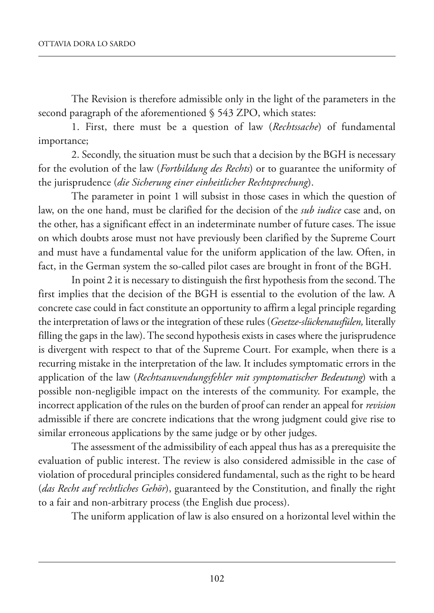The Revision is therefore admissible only in the light of the parameters in the second paragraph of the aforementioned § 543 ZPO, which states:

1. first, there must be a question of law (*Rechtssache*) of fundamental importance;

2. Secondly, the situation must be such that a decision by the BGH is necessary for the evolution of the law (*Fortbildung des Rechts*) or to guarantee the uniformity of the jurisprudence (*die Sicherung einer einheitlicher Rechtsprechung*).

The parameter in point 1 will subsist in those cases in which the question of law, on the one hand, must be clarified for the decision of the *sub iudice* case and, on the other, has a significant effect in an indeterminate number of future cases. The issue on which doubts arose must not have previously been clarified by the Supreme Court and must have a fundamental value for the uniform application of the law. Often, in fact, in the German system the so-called pilot cases are brought in front of the BGh.

In point 2 it is necessary to distinguish the first hypothesis from the second. The first implies that the decision of the BGH is essential to the evolution of the law. A concrete case could in fact constitute an opportunity to affirm a legal principle regarding the interpretation of laws or the integration of these rules (*Gesetze-slückenausfülen,* literally filling the gaps in the law). The second hypothesis exists in cases where the jurisprudence is divergent with respect to that of the Supreme Court. For example, when there is a recurring mistake in the interpretation of the law. it includes symptomatic errors in the application of the law (*Rechtsanwendungsfehler mit symptomatischer Bedeutung*) with a possible non-negligible impact on the interests of the community. for example, the incorrect application of the rules on the burden of proof can render an appeal for *revision* admissible if there are concrete indications that the wrong judgment could give rise to similar erroneous applications by the same judge or by other judges.

The assessment of the admissibility of each appeal thus has as a prerequisite the evaluation of public interest. The review is also considered admissible in the case of violation of procedural principles considered fundamental, such as the right to be heard (*das Recht auf rechtliches Gehör*), guaranteed by the Constitution, and finally the right to a fair and non-arbitrary process (the English due process).

The uniform application of law is also ensured on a horizontal level within the